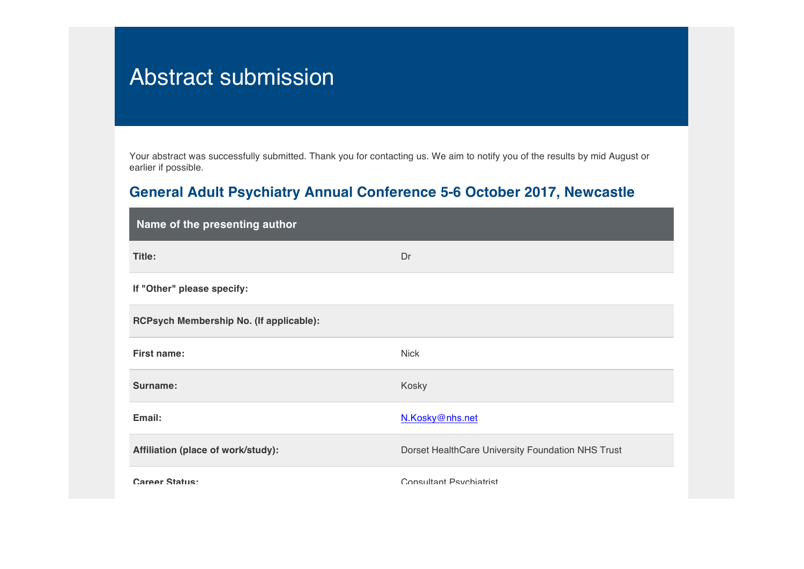## Abstract submission

Your abstract was successfully submitted. Thank you for contacting us. We aim to notify you of the results by mid August or earlier if possible.

## **General Adult Psychiatry Annual Conference 5-6 October 2017, Newcastle**

| Name of the presenting author           |                                                   |
|-----------------------------------------|---------------------------------------------------|
| Title:                                  | Dr                                                |
| If "Other" please specify:              |                                                   |
| RCPsych Membership No. (If applicable): |                                                   |
| <b>First name:</b>                      | <b>Nick</b>                                       |
| Surname:                                | Kosky                                             |
| Email:                                  | N.Kosky@nhs.net                                   |
| Affiliation (place of work/study):      | Dorset HealthCare University Foundation NHS Trust |
| Career Status:                          | Consultant Psychiatrist                           |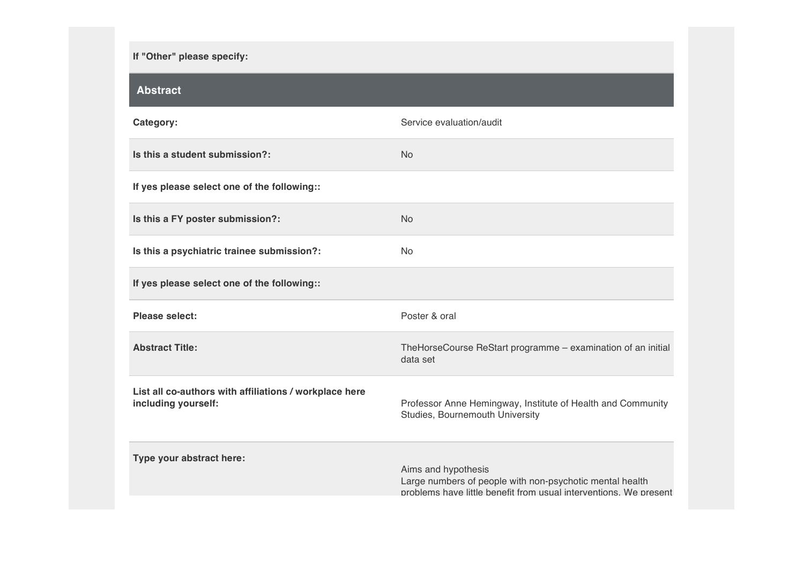## **If "Other" please specify:**

| <b>Abstract</b>                                                               |                                                                                                                                                      |
|-------------------------------------------------------------------------------|------------------------------------------------------------------------------------------------------------------------------------------------------|
| Category:                                                                     | Service evaluation/audit                                                                                                                             |
| Is this a student submission?:                                                | <b>No</b>                                                                                                                                            |
| If yes please select one of the following::                                   |                                                                                                                                                      |
| Is this a FY poster submission?:                                              | <b>No</b>                                                                                                                                            |
| Is this a psychiatric trainee submission?:                                    | <b>No</b>                                                                                                                                            |
| If yes please select one of the following::                                   |                                                                                                                                                      |
| <b>Please select:</b>                                                         | Poster & oral                                                                                                                                        |
| <b>Abstract Title:</b>                                                        | TheHorseCourse ReStart programme - examination of an initial<br>data set                                                                             |
| List all co-authors with affiliations / workplace here<br>including yourself: | Professor Anne Hemingway, Institute of Health and Community<br>Studies, Bournemouth University                                                       |
| Type your abstract here:                                                      | Aims and hypothesis<br>Large numbers of people with non-psychotic mental health<br>problems have little benefit from usual interventions. We present |